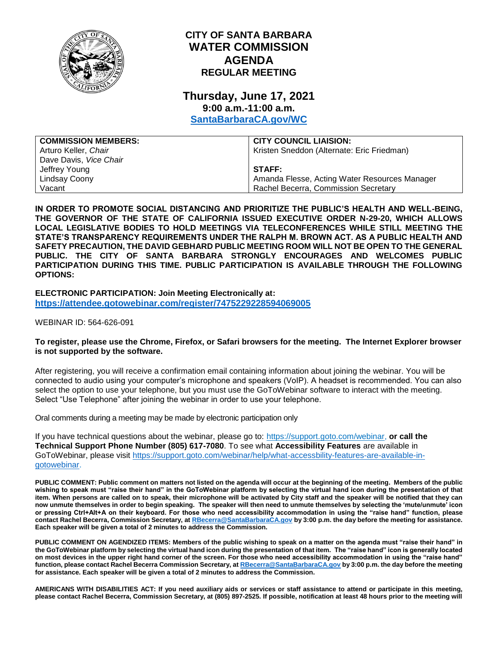

## **CITY OF SANTA BARBARA WATER COMMISSION AGENDA REGULAR MEETING**

# **Thursday, June 17, 2021 9:00 a.m.-11:00 a.m.**

**[SantaBarbaraCA.gov/WC](http://www.santabarbaraca.gov/wc)**

| <b>COMMISSION MEMBERS:</b> | <b>CITY COUNCIL LIAISION:</b>                 |
|----------------------------|-----------------------------------------------|
| Arturo Keller, Chair       | Kristen Sneddon (Alternate: Eric Friedman)    |
| Dave Davis, Vice Chair     |                                               |
| Jeffrey Young              | <b>STAFF:</b>                                 |
| Lindsay Coony              | Amanda Flesse, Acting Water Resources Manager |
| Vacant                     | Rachel Becerra, Commission Secretary          |

**IN ORDER TO PROMOTE SOCIAL DISTANCING AND PRIORITIZE THE PUBLIC'S HEALTH AND WELL-BEING, THE GOVERNOR OF THE STATE OF CALIFORNIA ISSUED EXECUTIVE ORDER N-29-20, WHICH ALLOWS LOCAL LEGISLATIVE BODIES TO HOLD MEETINGS VIA TELECONFERENCES WHILE STILL MEETING THE STATE'S TRANSPARENCY REQUIREMENTS UNDER THE RALPH M. BROWN ACT. AS A PUBLIC HEALTH AND SAFETY PRECAUTION, THE DAVID GEBHARD PUBLIC MEETING ROOM WILL NOT BE OPEN TO THE GENERAL PUBLIC. THE CITY OF SANTA BARBARA STRONGLY ENCOURAGES AND WELCOMES PUBLIC PARTICIPATION DURING THIS TIME. PUBLIC PARTICIPATION IS AVAILABLE THROUGH THE FOLLOWING OPTIONS:**

**ELECTRONIC PARTICIPATION: Join Meeting Electronically at: <https://attendee.gotowebinar.com/register/7475229228594069005>**

WEBINAR ID: 564-626-091

#### **To register, please use the Chrome, Firefox, or Safari browsers for the meeting. The Internet Explorer browser is not supported by the software.**

After registering, you will receive a confirmation email containing information about joining the webinar. You will be connected to audio using your computer's microphone and speakers (VoIP). A headset is recommended. You can also select the option to use your telephone, but you must use the GoToWebinar software to interact with the meeting. Select "Use Telephone" after joining the webinar in order to use your telephone.

Oral comments during a meeting may be made by electronic participation only

If you have technical questions about the webinar, please go to: [https://support.goto.com/webinar,](https://support.goto.com/webinar) **or call the Technical Support Phone Number (805) 617-7080**. To see what **Accessibility Features** are available in GoToWebinar, please visit [https://support.goto.com/webinar/help/what-accessbility-features-are-available-in](https://support.goto.com/webinar/help/what-accessbility-features-are-available-in-gotowebinar)[gotowebinar.](https://support.goto.com/webinar/help/what-accessbility-features-are-available-in-gotowebinar)

**PUBLIC COMMENT: Public comment on matters not listed on the agenda will occur at the beginning of the meeting. Members of the public wishing to speak must "raise their hand" in the GoToWebinar platform by selecting the virtual hand icon during the presentation of that item. When persons are called on to speak, their microphone will be activated by City staff and the speaker will be notified that they can now unmute themselves in order to begin speaking. The speaker will then need to unmute themselves by selecting the 'mute/unmute' icon or pressing Ctrl+Alt+A on their keyboard. For those who need accessibility accommodation in using the "raise hand" function, please contact Rachel Becerra, Commission Secretary, a[t RBecerra@SantaBarbaraCA.gov](mailto:RBecerra@SantaBarbaraCA.gov) by 3:00 p.m. the day before the meeting for assistance. Each speaker will be given a total of 2 minutes to address the Commission.** 

**PUBLIC COMMENT ON AGENDIZED ITEMS: Members of the public wishing to speak on a matter on the agenda must "raise their hand" in the GoToWebinar platform by selecting the virtual hand icon during the presentation of that item. The "raise hand" icon is generally located on most devices in the upper right hand corner of the screen. For those who need accessibility accommodation in using the "raise hand" function, please contact Rachel Becerra Commission Secretary, a[t RBecerra@SantaBarbaraCA.gov](mailto:RBecerra@SantaBarbaraCA.gov) by 3:00 p.m. the day before the meeting for assistance. Each speaker will be given a total of 2 minutes to address the Commission.** 

**AMERICANS WITH DISABILITIES ACT: If you need auxiliary aids or services or staff assistance to attend or participate in this meeting, please contact Rachel Becerra, Commission Secretary, at (805) 897-2525. If possible, notification at least 48 hours prior to the meeting will**